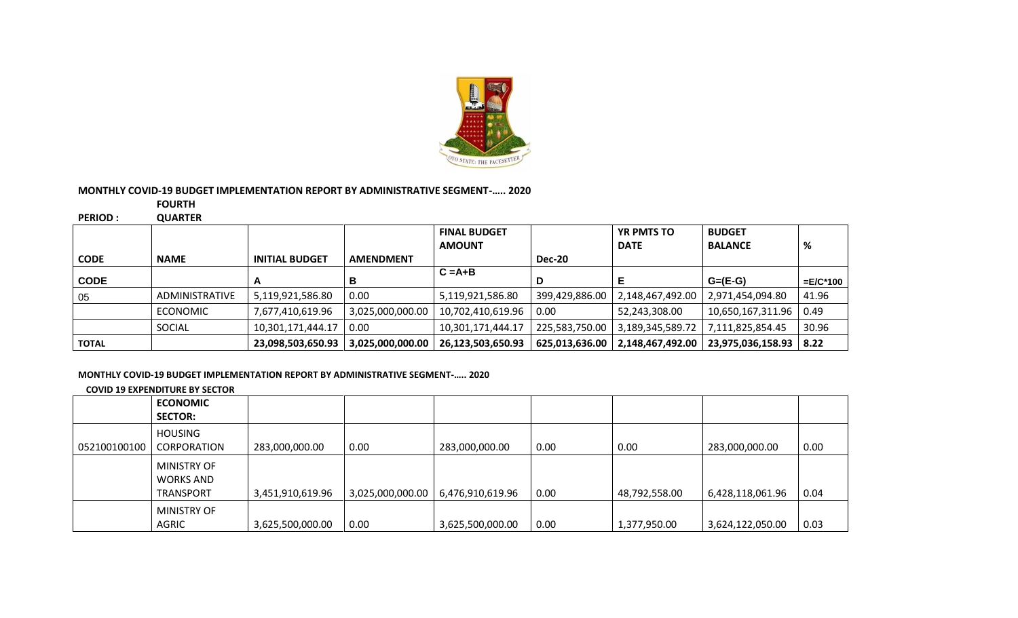

## **MONTHLY COVID-19 BUDGET IMPLEMENTATION REPORT BY ADMINISTRATIVE SEGMENT-….. 2020**

**FOURTH** 

**PERIOD : QUARTER**

|              |                       |                       |                  | <b>FINAL BUDGET</b> |                | <b>YR PMTS TO</b> | <b>BUDGET</b>     |             |
|--------------|-----------------------|-----------------------|------------------|---------------------|----------------|-------------------|-------------------|-------------|
|              |                       |                       |                  | <b>AMOUNT</b>       |                | <b>DATE</b>       | <b>BALANCE</b>    | %           |
| <b>CODE</b>  | <b>NAME</b>           | <b>INITIAL BUDGET</b> | <b>AMENDMENT</b> |                     | <b>Dec-20</b>  |                   |                   |             |
|              |                       |                       |                  | $C = A + B$         |                |                   |                   |             |
| <b>CODE</b>  |                       | А                     | в                |                     | D              |                   | $G=(E-G)$         | $=E/C^*100$ |
| 05           | <b>ADMINISTRATIVE</b> | 5,119,921,586.80      | 0.00             | 5,119,921,586.80    | 399,429,886.00 | 2,148,467,492.00  | 2,971,454,094.80  | 41.96       |
|              | <b>ECONOMIC</b>       | 7,677,410,619.96      | 3,025,000,000.00 | 10,702,410,619.96   | 0.00           | 52,243,308.00     | 10,650,167,311.96 | 0.49        |
|              | SOCIAL                | 10,301,171,444.17     | 0.00             | 10,301,171,444.17   | 225,583,750.00 | 3,189,345,589.72  | 7,111,825,854.45  | 30.96       |
| <b>TOTAL</b> |                       | 23,098,503,650.93     | 3,025,000,000.00 | 26,123,503,650.93   | 625,013,636.00 | 2,148,467,492.00  | 23,975,036,158.93 | 8.22        |

## **MONTHLY COVID-19 BUDGET IMPLEMENTATION REPORT BY ADMINISTRATIVE SEGMENT-….. 2020**

**COVID 19 EXPENDITURE BY SECTOR**

|              | <b>ECONOMIC</b><br><b>SECTOR:</b>                          |                  |                  |                  |      |               |                  |      |
|--------------|------------------------------------------------------------|------------------|------------------|------------------|------|---------------|------------------|------|
| 052100100100 | <b>HOUSING</b><br><b>CORPORATION</b>                       | 283,000,000.00   | 0.00             | 283,000,000.00   | 0.00 | 0.00          | 283,000,000.00   | 0.00 |
|              | <b>MINISTRY OF</b><br><b>WORKS AND</b><br><b>TRANSPORT</b> | 3,451,910,619.96 | 3,025,000,000.00 | 6,476,910,619.96 | 0.00 | 48,792,558.00 | 6,428,118,061.96 | 0.04 |
|              | <b>MINISTRY OF</b><br><b>AGRIC</b>                         | 3,625,500,000.00 | 0.00             | 3,625,500,000.00 | 0.00 | 1,377,950.00  | 3,624,122,050.00 | 0.03 |